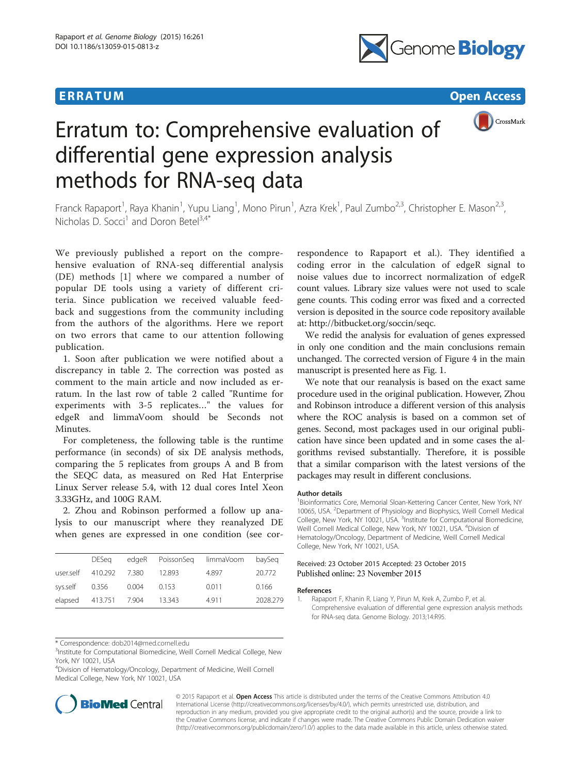



# Erratum to: Comprehensive evaluation of differential gene expression analysis methods for RNA-seq data

Franck Rapaport<sup>1</sup>, Raya Khanin<sup>1</sup>, Yupu Liang<sup>1</sup>, Mono Pirun<sup>1</sup>, Azra Krek<sup>1</sup>, Paul Zumbo<sup>2,3</sup>, Christopher E. Mason<sup>2,3</sup>, Nicholas D. Socci<sup>1</sup> and Doron Betel<sup>3,4\*</sup>

We previously published a report on the comprehensive evaluation of RNA-seq differential analysis (DE) methods [1] where we compared a number of popular DE tools using a variety of different criteria. Since publication we received valuable feedback and suggestions from the community including from the authors of the algorithms. Here we report on two errors that came to our attention following publication.

1. Soon after publication we were notified about a discrepancy in table 2. The correction was posted as comment to the main article and now included as erratum. In the last row of table 2 called "Runtime for experiments with 3-5 replicates…" the values for edgeR and limmaVoom should be Seconds not Minutes.

For completeness, the following table is the runtime performance (in seconds) of six DE analysis methods, comparing the 5 replicates from groups A and B from the SEQC data, as measured on Red Hat Enterprise Linux Server release 5.4, with 12 dual cores Intel Xeon 3.33GHz, and 100G RAM.

2. Zhou and Robinson performed a follow up analysis to our manuscript where they reanalyzed DE when genes are expressed in one condition (see cor-

|           | DESea                 |       | edgeR PoissonSeg limmaVoom |       | baySeg   |
|-----------|-----------------------|-------|----------------------------|-------|----------|
| user.self | 410.292 7.380         |       | 12.893                     | 4.897 | 20.772   |
| sys.self  | 0.356                 | 0.004 | 0.153                      | 0.011 | 0.166    |
|           | elapsed 413.751 7.904 |       | 13.343                     | 4.911 | 2028.279 |

\* Correspondence: [dob2014@med.cornell.edu](mailto:dob2014@med.cornell.edu) <sup>3</sup>

<sup>3</sup>Institute for Computational Biomedicine, Weill Cornell Medical College, New York, NY 10021, USA

4 Division of Hematology/Oncology, Department of Medicine, Weill Cornell Medical College, New York, NY 10021, USA



respondence to Rapaport et al.). They identified a coding error in the calculation of edgeR signal to noise values due to incorrect normalization of edgeR count values. Library size values were not used to scale gene counts. This coding error was fixed and a corrected version is deposited in the source code repository available at: [http://bitbucket.org/soccin/seqc.](http://bitbucket.org/soccin/seqc)

We redid the analysis for evaluation of genes expressed in only one condition and the main conclusions remain unchanged. The corrected version of Figure 4 in the main manuscript is presented here as Fig. [1](#page-1-0).

We note that our reanalysis is based on the exact same procedure used in the original publication. However, Zhou and Robinson introduce a different version of this analysis where the ROC analysis is based on a common set of genes. Second, most packages used in our original publication have since been updated and in some cases the algorithms revised substantially. Therefore, it is possible that a similar comparison with the latest versions of the packages may result in different conclusions.

### Author details

<sup>1</sup> Bioinformatics Core, Memorial Sloan-Kettering Cancer Center, New York, NY 10065, USA. <sup>2</sup>Department of Physiology and Biophysics, Weill Cornell Medical College, New York, NY 10021, USA. <sup>3</sup>Institute for Computational Biomedicine, Weill Cornell Medical College, New York, NY 10021, USA. <sup>4</sup>Division of Hematology/Oncology, Department of Medicine, Weill Cornell Medical College, New York, NY 10021, USA.

## Received: 23 October 2015 Accepted: 23 October 2015 Published online: 23 November 2015

#### References

© 2015 Rapaport et al. Open Access This article is distributed under the terms of the Creative Commons Attribution 4.0 International License [\(http://creativecommons.org/licenses/by/4.0/](http://creativecommons.org/licenses/by/4.0/)), which permits unrestricted use, distribution, and reproduction in any medium, provided you give appropriate credit to the original author(s) and the source, provide a link to the Creative Commons license, and indicate if changes were made. The Creative Commons Public Domain Dedication waiver [\(http://creativecommons.org/publicdomain/zero/1.0/](http://creativecommons.org/publicdomain/zero/1.0/)) applies to the data made available in this article, unless otherwise stated.

<sup>1.</sup> Rapaport F, Khanin R, Liang Y, Pirun M, Krek A, Zumbo P, et al. Comprehensive evaluation of differential gene expression analysis methods for RNA-seq data. Genome Biology. 2013;14:R95.